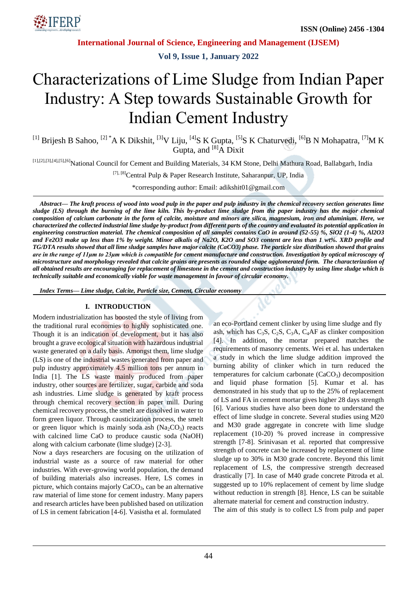

**Vol 9, Issue 1, January 2022**

# Characterizations of Lime Sludge from Indian Paper Industry: A Step towards Sustainable Growth for Indian Cement Industry

<sup>[1]</sup> Brijesh B Sahoo, <sup>[2] \*</sup>A K Dikshit, <sup>[3]</sup>V Liju, <sup>[4]</sup>S K Gupta, <sup>[5]</sup>S K Chaturvedi, <sup>[6]</sup>B N Mohapatra, <sup>[7]</sup>M K Gupta, and  $^{[8]}$ A Dixit

[1],[2],[3],[4],[5],[6]National Council for Cement and Building Materials, 34 KM Stone, Delhi Mathura Road, Ballabgarh, India

[7], [8] Central Pulp & Paper Research Institute, Saharanpur, UP, India

\*corresponding author: Email: adikshit01@gmail.com

*Abstract— The kraft process of wood into wood pulp in the paper and pulp industry in the chemical recovery section generates lime sludge (LS) through the burning of the lime kiln. This by-product lime sludge from the paper industry has the major chemical composition of calcium carbonate in the form of calcite, moisture and minors are silica, magnesium, iron and aluminium. Here, we characterized the collected industrial lime sludge by-product from different parts of the country and evaluated its potential application in engineering construction material. The chemical composition of all samples contains CaO in around (52-55) %, SiO2 (1-4) %, Al2O3 and Fe2O3 make up less than 1% by weight. Minor alkalis of Na2O, K2O and SO3 content are less than 1 wt%. XRD profile and TG/DTA results showed that all lime sludge samples have major calcite (CaCO3) phase. The particle size distribution showed that grains are in the range of 11μm to 23μm which is compatible for cement manufacture and construction. Investigation by optical microscopy of microstructure and morphology revealed that calcite grains are presents as rounded shape agglomerated form. The characterization of all obtained results are encouraging for replacement of limestone in the cement and construction industry by using lime sludge which is technically suitable and economically viable for waste management in favour of circular economy.*

*Index Terms— Lime sludge, Calcite, Particle size, Cement, Circular economy*

## **I. INTRODUCTION**

Modern industrialization has boosted the style of living from the traditional rural economies to highly sophisticated one. Though it is an indication of development, but it has also brought a grave ecological situation with hazardous industrial waste generated on a daily basis. Amongst them, lime sludge (LS) is one of the industrial wastes generated from paper and pulp industry approximately 4.5 million tons per annum in India [1]. The LS waste mainly produced from paper industry, other sources are fertilizer, sugar, carbide and soda ash industries. Lime sludge is generated by kraft process through chemical recovery section in paper mill. During chemical recovery process, the smelt are dissolved in water to form green liquor. Through causticization process, the smelt or green liquor which is mainly soda ash  $(Na<sub>2</sub>CO<sub>3</sub>)$  reacts with calcined lime CaO to produce caustic soda (NaOH) along with calcium carbonate (lime sludge) [2-3].

Now a days researchers are focusing on the utilization of industrial waste as a source of raw material for other industries. With ever-growing world population, the demand of building materials also increases. Here, LS comes in picture, which contains majorly  $CaCO<sub>3</sub>$ , can be an alternative raw material of lime stone for cement industry. Many papers and research articles have been published based on utilization of LS in cement fabrication [4-6]. Vasistha et al. formulated

an eco-Portland cement clinker by using lime sludge and fly ash, which has  $C_3S$ ,  $C_2S$ ,  $C_3A$ ,  $C_4AF$  as clinker composition [4]. In addition, the mortar prepared matches the requirements of masonry cements. Wei et al. has undertaken a study in which the lime sludge addition improved the burning ability of clinker which in turn reduced the temperatures for calcium carbonate  $(CaCO<sub>3</sub>)$  decomposition and liquid phase formation [5]. Kumar et al. has demonstrated in his study that up to the 25% of replacement of LS and FA in cement mortar gives higher 28 days strength [6]. Various studies have also been done to understand the effect of lime sludge in concrete. Several studies using M20 and M30 grade aggregate in concrete with lime sludge replacement (10-20) % proved increase in compressive strength [7-8]. Srinivasan et al. reported that compressive strength of concrete can be increased by replacement of lime sludge up to 30% in M30 grade concrete. Beyond this limit replacement of LS, the compressive strength decreased drastically [7]. In case of M40 grade concrete Pitroda et al. suggested up to 10% replacement of cement by lime sludge without reduction in strength [8]. Hence, LS can be suitable alternate material for cement and construction industry.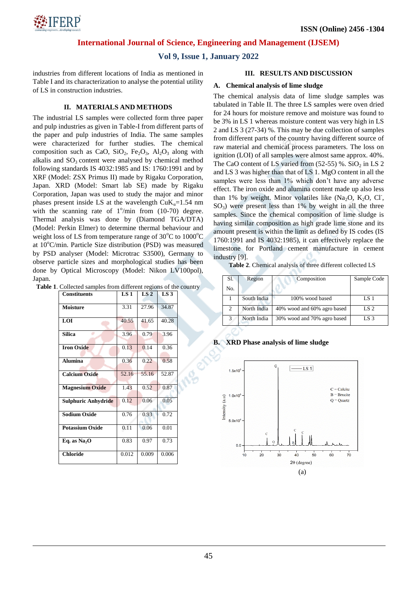

# **Vol 9, Issue 1, January 2022**

industries from different locations of India as mentioned in Table I and its characterization to analyse the potential utility of LS in construction industries.

## **II. MATERIALS AND METHODS**

The industrial LS samples were collected form three paper and pulp industries as given in Table-I from different parts of the paper and pulp industries of India. The same samples were characterized for further studies. The chemical composition such as CaO,  $SiO_2$ , Fe<sub>2</sub>O<sub>3</sub>, Al<sub>2</sub>O<sub>3</sub> along with alkalis and  $SO<sub>3</sub>$  content were analysed by chemical method following standards IS 4032:1985 and IS: 1760:1991 and by XRF (Model: ZSX Primus II) made by Rigaku Corporation, Japan. XRD (Model: Smart lab SE) made by Rigaku Corporation, Japan was used to study the major and minor phases present inside LS at the wavelength  $CuK<sub>0</sub>=1.54$  nm with the scanning rate of  $1^{\circ}/\text{min}$  from (10-70) degree. Thermal analysis was done by (Diamond TGA/DTA) (Model: Perkin Elmer) to determine thermal behaviour and weight loss of LS from temperature range of  $30^{\circ}$ C to  $1000^{\circ}$ C at 10°C/min. Particle Size distribution (PSD) was measured by PSD analyser (Model: Microtrac S3500), Germany to observe particle sizes and morphological studies has been done by Optical Microscopy (Model: Nikon LV100pol), Japan.

**Table 1**. Collected samples from different regions of the country

| <b>Constituents</b>    | LS <sub>1</sub> | LS <sub>2</sub> | LS3   |
|------------------------|-----------------|-----------------|-------|
| <b>Moisture</b>        | 3.31            | 27.96           | 34.87 |
| LOI                    | 40.55           | 41.65           | 40.28 |
| <b>Silica</b>          | 3.96            | 0.79            | 3.96  |
| <b>Iron Oxide</b>      | 0.13            | 0.14            | 0.36  |
| <b>Alumina</b>         | 0.36            | 0.22            | 0.58  |
| <b>Calcium Oxide</b>   | 52.16           | 55.16           | 52.87 |
| <b>Magnesium Oxide</b> | 1.43            | 0.52            | 0.87  |
| Sulphuric Anhydride    | 0.12            | 0.06            | 0.05  |
| <b>Sodium Oxide</b>    | 0.76            | 0.93            | 0.72  |
| <b>Potassium Oxide</b> | 0.11            | 0.06            | 0.01  |
| Eq. as $Na2O$          | 0.83            | 0.97            | 0.73  |
| <b>Chloride</b>        | 0.012           | 0.009           | 0.006 |

#### **III. RESULTS AND DISCUSSION**

#### **A. Chemical analysis of lime sludge**

The chemical analysis data of lime sludge samples was tabulated in Table II. The three LS samples were oven dried for 24 hours for moisture remove and moisture was found to be 3% in LS 1 whereas moisture content was very high in LS 2 and LS 3 (27-34) %. This may be due collection of samples from different parts of the country having different source of raw material and chemical process parameters. The loss on ignition (LOI) of all samples were almost same approx. 40%. The CaO content of LS varied from  $(52-55)$  %. SiO<sub>2</sub> in LS 2 and LS 3 was higher than that of LS 1. MgO content in all the samples were less than 1% which don't have any adverse effect. The iron oxide and alumina content made up also less than 1% by weight. Minor volatiles like  $(Na<sub>2</sub>O, K<sub>2</sub>O, Cl<sub>1</sub>)$ ,  $SO_3$ ) were present less than 1% by weight in all the three samples. Since the chemical composition of lime sludge is having similar composition as high grade lime stone and its amount present is within the limit as defined by IS codes (IS 1760:1991 and IS 4032:1985), it can effectively replace the limestone for Portland cement manufacture in cement industry [9].

**Table 2**. Chemical analysis of three different collected LS

| S1. | Region      | Composition                 | Sample Code     |
|-----|-------------|-----------------------------|-----------------|
| No. |             |                             |                 |
|     | South India | 100% wood based             | LS <sub>1</sub> |
| 2   | North India | 40% wood and 60% agro based | LS 2            |
| 3   | North India | 30% wood and 70% agro based | LS 3            |

**B. XRD Phase analysis of lime sludge**

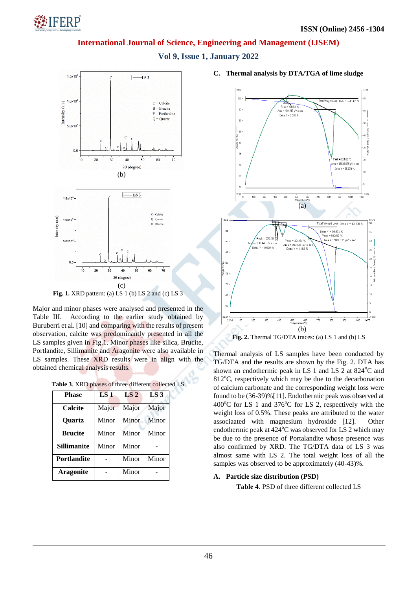

**Vol 9, Issue 1, January 2022**



**Fig. 1.** XRD pattern: (a) LS 1 (b) LS 2 and (c) LS 3

Major and minor phases were analysed and presented in the Table III. According to the earlier study obtained by Buruberri et al. [10] and comparing with the results of present observation, calcite was predominantly presented in all the LS samples given in Fig.1. Minor phases like silica, Brucite, Portlandite, Sillimanite and Aragonite were also available in LS samples. These XRD results were in align with the obtained chemical analysis results.

**Table 3**. XRD phases of three different collected LS

| <b>Phase</b>       | LS <sub>1</sub> | LS <sub>2</sub> | LS <sub>3</sub> |
|--------------------|-----------------|-----------------|-----------------|
| Calcite            | Major           | Major           | Major           |
| <b>Ouartz</b>      | Minor           | Minor           | Minor           |
| <b>Brucite</b>     | Minor           | Minor           | Minor           |
| <b>Sillimanite</b> | Minor           | Minor           |                 |
| <b>Portlandite</b> |                 | Minor           | Minor           |
| <b>Aragonite</b>   |                 | Minor           |                 |

**C. Thermal analysis by DTA/TGA of lime sludge**



Thermal analysis of LS samples have been conducted by TG/DTA and the results are shown by the Fig. 2. DTA has shown an endothermic peak in LS 1 and LS 2 at  $824^{\circ}$ C and  $812^{\circ}$ C, respectively which may be due to the decarbonation of calcium carbonate and the corresponding weight loss were found to be (36-39)%[11]. Endothermic peak was observed at  $400^{\circ}$ C for LS 1 and 376<sup>°</sup>C for LS 2, respectively with the weight loss of 0.5%. These peaks are attributed to the water associaated with magnesium hydroxide [12]. Other endothermic peak at  $424^{\circ}$ C was observed for LS 2 which may be due to the presence of Portalandite whose presence was also confirmed by XRD. The TG/DTA data of LS 3 was almost same with LS 2. The total weight loss of all the samples was observed to be approximately (40-43)%.

## **A. Particle size distribution (PSD)**

**Table 4**. PSD of three different collected LS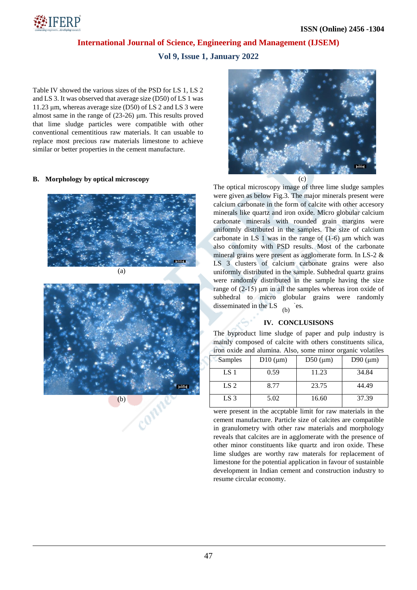

**Vol 9, Issue 1, January 2022**

Table IV showed the various sizes of the PSD for LS 1, LS 2 and LS 3. It was observed that average size (D50) of LS 1 was 11.23 μm, whereas average size (D50) of LS 2 and LS 3 were almost same in the range of (23-26) μm. This results proved that lime sludge particles were compatible with other conventional cementitious raw materials. It can usuable to replace most precious raw materials limestone to achieve similar or better properties in the cement manufacture.

#### **B. Morphology by optical microscopy**





 $(h)$ 



The optical microscopy image of three lime sludge samples were given as below Fig.3. The major minerals present were calcium carbonate in the form of calcite with other accesory minerals like quartz and iron oxide. Micro globular calcium carbonate minerals with rounded grain margins were uniformly distributed in the samples. The size of calcium carbonate in LS 1 was in the range of  $(1-6)$  μm which was also confomity with PSD results. Most of the carbonate mineral grains were present as agglomerate form. In LS-2 & LS 3 clusters of calcium carbonate grains were also uniformly distributed in the sample. Subhedral quartz grains were randomly distributed in the sample having the size range of (2-15) μm in all the samples whereas iron oxide of subhedral to micro globular grains were randomly disseminated in the LS  $(h)$  es.

#### **IV. CONCLUSISONS**

The byproduct lime sludge of paper and pulp industry is mainly composed of calcite with others constituents silica, iron oxide and alumina. Also, some minor organic volatiles

| Samples         | $D10 \, (\mu m)$ | D50 ( $\mu$ m) | D90 $(\mu m)$ |
|-----------------|------------------|----------------|---------------|
| LS 1            | 0.59             | 11.23          | 34.84         |
| LS <sub>2</sub> | 8.77             | 23.75          | 44.49         |
| LS 3            | 5.02             | 16.60          | 37.39         |

were present in the accptable limit for raw materials in the cement manufacture. Particle size of calcites are compatible in granulometry with other raw materials and morphology reveals that calcites are in agglomerate with the presence of other minor constituents like quartz and iron oxide. These lime sludges are worthy raw materals for replacement of limestone for the potential application in favour of sustainble development in Indian cement and construction industry to resume circular economy.